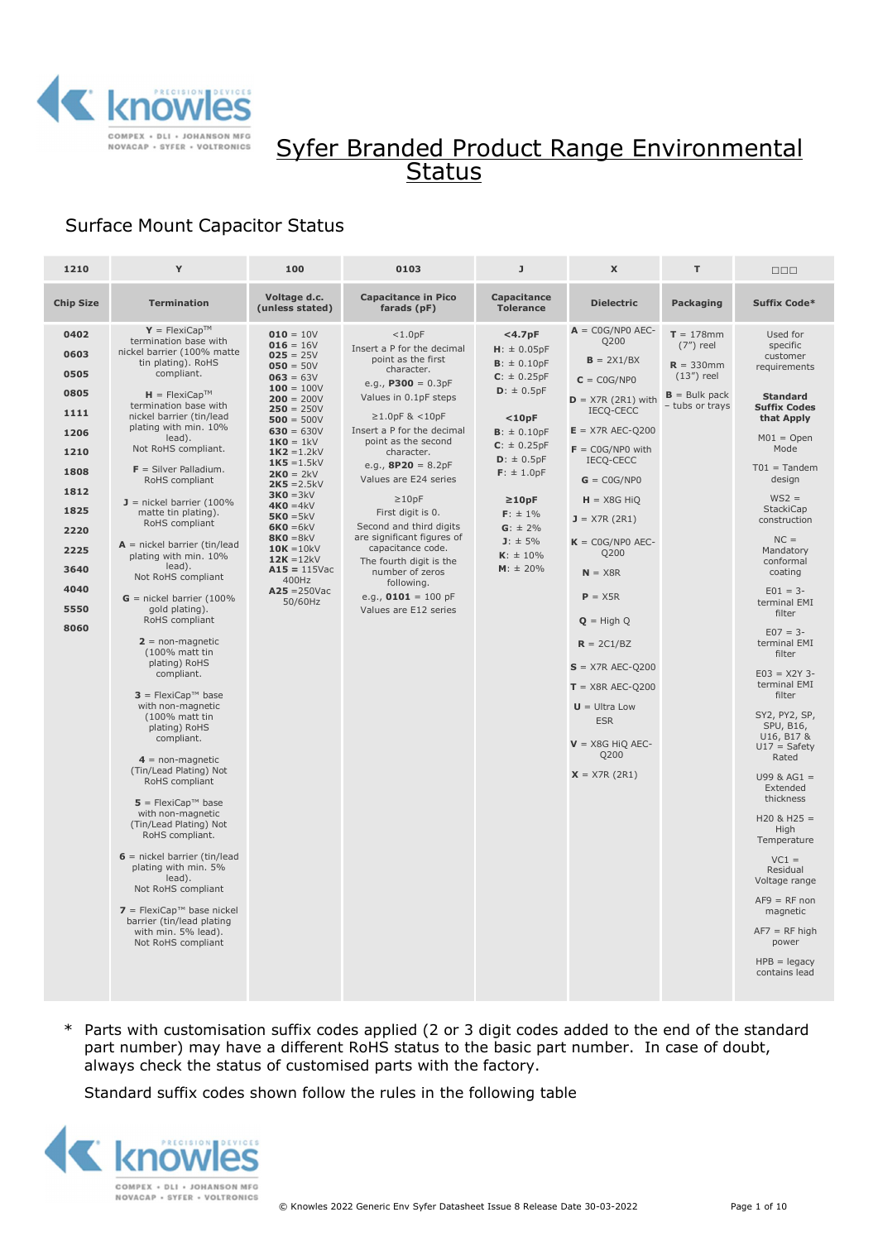

# Syfer Branded Product Range Environmental **Status**

### Surface Mount Capacitor Status

| 1210                                                                                                                         | Y                                                                                                                                                                                                                                                                                                                                                                                                                                                                                                                                                                                                                                                                                                                                                                                                                                                                                                                                                                                                                                                                                                                            | 100                                                                                                                                                                                                                                                                                                                                                                                                           | 0103                                                                                                                                                                                                                                                                                                                                                                                                                                                                                               | J                                                                                                                                                                                                                                                                         | $\boldsymbol{\mathsf{x}}$                                                                                                                                                                                                                                                                                                                                                                                                                                                      | T.                                                                                                | $\Box \Box \Box$                                                                                                                                                                                                                                                                                                                                                                                                                                                                                                                                                                                                                                                                       |
|------------------------------------------------------------------------------------------------------------------------------|------------------------------------------------------------------------------------------------------------------------------------------------------------------------------------------------------------------------------------------------------------------------------------------------------------------------------------------------------------------------------------------------------------------------------------------------------------------------------------------------------------------------------------------------------------------------------------------------------------------------------------------------------------------------------------------------------------------------------------------------------------------------------------------------------------------------------------------------------------------------------------------------------------------------------------------------------------------------------------------------------------------------------------------------------------------------------------------------------------------------------|---------------------------------------------------------------------------------------------------------------------------------------------------------------------------------------------------------------------------------------------------------------------------------------------------------------------------------------------------------------------------------------------------------------|----------------------------------------------------------------------------------------------------------------------------------------------------------------------------------------------------------------------------------------------------------------------------------------------------------------------------------------------------------------------------------------------------------------------------------------------------------------------------------------------------|---------------------------------------------------------------------------------------------------------------------------------------------------------------------------------------------------------------------------------------------------------------------------|--------------------------------------------------------------------------------------------------------------------------------------------------------------------------------------------------------------------------------------------------------------------------------------------------------------------------------------------------------------------------------------------------------------------------------------------------------------------------------|---------------------------------------------------------------------------------------------------|----------------------------------------------------------------------------------------------------------------------------------------------------------------------------------------------------------------------------------------------------------------------------------------------------------------------------------------------------------------------------------------------------------------------------------------------------------------------------------------------------------------------------------------------------------------------------------------------------------------------------------------------------------------------------------------|
| <b>Chip Size</b>                                                                                                             | <b>Termination</b>                                                                                                                                                                                                                                                                                                                                                                                                                                                                                                                                                                                                                                                                                                                                                                                                                                                                                                                                                                                                                                                                                                           | Voltage d.c.<br>(unless stated)                                                                                                                                                                                                                                                                                                                                                                               | <b>Capacitance in Pico</b><br>farads (pF)                                                                                                                                                                                                                                                                                                                                                                                                                                                          | Capacitance<br><b>Tolerance</b>                                                                                                                                                                                                                                           | <b>Dielectric</b>                                                                                                                                                                                                                                                                                                                                                                                                                                                              | <b>Packaging</b>                                                                                  | Suffix Code*                                                                                                                                                                                                                                                                                                                                                                                                                                                                                                                                                                                                                                                                           |
| 0402<br>0603<br>0505<br>0805<br>1111<br>1206<br>1210<br>1808<br>1812<br>1825<br>2220<br>2225<br>3640<br>4040<br>5550<br>8060 | $Y = FlexiCap^{TM}$<br>termination base with<br>nickel barrier (100% matte<br>tin plating). RoHS<br>compliant.<br>$H = FlexiCap^{TM}$<br>termination base with<br>nickel barrier (tin/lead<br>plating with min. 10%<br>lead).<br>Not RoHS compliant.<br>$F =$ Silver Palladium.<br>RoHS compliant<br>$J =$ nickel barrier (100%<br>matte tin plating).<br>RoHS compliant<br>$A$ = nickel barrier (tin/lead<br>plating with min. 10%<br>lead).<br>Not RoHS compliant<br>$G$ = nickel barrier (100%<br>gold plating).<br>RoHS compliant<br>$2 = non-magnetic$<br>$(100\% \text{ matt tin})$<br>plating) RoHS<br>compliant.<br>$3$ = FlexiCap <sup>TM</sup> base<br>with non-magnetic<br>(100% matt tin<br>plating) RoHS<br>compliant.<br>$4 =$ non-magnetic<br>(Tin/Lead Plating) Not<br>RoHS compliant<br>$5$ = FlexiCap <sup>TM</sup> base<br>with non-magnetic<br>(Tin/Lead Plating) Not<br>RoHS compliant.<br>$6$ = nickel barrier (tin/lead<br>plating with min. 5%<br>lead).<br>Not RoHS compliant<br>$7$ = FlexiCap <sup>TM</sup> base nickel<br>barrier (tin/lead plating<br>with min. 5% lead).<br>Not RoHS compliant | $010 = 10V$<br>$016 = 16V$<br>$025 = 25V$<br>$050 = 50V$<br>$063 = 63V$<br>$100 = 100V$<br>$200 = 200V$<br>$250 = 250V$<br>$500 = 500V$<br>$630 = 630V$<br>$1KO = 1kV$<br>$1K2 = 1.2kV$<br>$1K5 = 1.5kV$<br>$2KO = 2kV$<br>$2K5 = 2.5kV$<br>$3K0 = 3kV$<br>$4KO = 4kV$<br>$5K0 = 5kV$<br>$6K0 = 6kV$<br>$8K0 = 8kV$<br>$10K = 10kV$<br>$12K = 12kV$<br>$A15 = 115$ Vac<br>400Hz<br>$A25 = 250$ Vac<br>50/60Hz | < 1.0pF<br>Insert a P for the decimal<br>point as the first<br>character.<br>e.g., $P300 = 0.3pF$<br>Values in 0.1pF steps<br>$≥1.0pF$ & <10pF<br>Insert a P for the decimal<br>point as the second<br>character.<br>e.g., $8P20 = 8.2pF$<br>Values are E24 series<br>$\geq 10pF$<br>First digit is 0.<br>Second and third digits<br>are significant figures of<br>capacitance code.<br>The fourth digit is the<br>number of zeros<br>following.<br>e.g., $0101 = 100$ pF<br>Values are E12 series | $<$ 4.7pF<br>$H: \pm 0.05pF$<br>$B: \pm 0.10pF$<br>$C: \pm 0.25pF$<br>$D: \pm 0.5pF$<br>$10pF$<br>$B: \pm 0.10pF$<br>$C: \pm 0.25pF$<br>$D: \pm 0.5pF$<br>$F: \pm 1.0pF$<br>$\geq 10pF$<br>$F: \pm 1\%$<br>$G: \pm 2\%$<br>$J: \pm 5\%$<br>$K: \pm 10\%$<br>$M: \pm 20\%$ | $A = COG/NPO$ AEC-<br>Q200<br>$B = 2X1/BX$<br>$C = \text{COG/NPO}$<br>$D = X7R (2R1)$ with<br>IECQ-CECC<br>$E = X7R$ AEC-Q200<br>$F = \text{COG}/\text{NPO}$ with<br>IECQ-CECC<br>$G = \text{COG/NPO}$<br>$H = X8G$ HiQ<br>$J = X7R (2R1)$<br>$K = \text{COG}/\text{NPO}$ AEC-<br>Q200<br>$N = X8R$<br>$P = X5R$<br>$Q = High Q$<br>$R = 2C1/BZ$<br>$S = X7R$ AEC-Q200<br>$T = X8R$ AEC-Q200<br>$U =$ Ultra Low<br><b>ESR</b><br>$V = X8G$ HiQ AEC-<br>Q200<br>$X = X7R (2R1)$ | $T = 178$ mm<br>$(7")$ reel<br>$R = 330$ mm<br>$(13")$ reel<br>$B = Bulk pack$<br>- tubs or trays | Used for<br>specific<br>customer<br>requirements<br><b>Standard</b><br><b>Suffix Codes</b><br>that Apply<br>$M01 = Open$<br>Mode<br>$T01 = Tandem$<br>design<br>$WS2 =$<br>StackiCap<br>construction<br>$NC =$<br>Mandatory<br>conformal<br>coating<br>$E01 = 3-$<br>terminal EMI<br>filter<br>$E07 = 3-$<br>terminal EMI<br>filter<br>$E03 = X2Y$ 3-<br>terminal EMI<br>filter<br>SY2, PY2, SP,<br>SPU, B16,<br>U16, B17 &<br>$U17 = Safety$<br>Rated<br>$U99$ & AG1 =<br>Extended<br>thickness<br>$H20$ & $H25 =$<br>High<br>Temperature<br>$VC1 =$<br>Residual<br>Voltage range<br>$AF9 = RF$ non<br>magnetic<br>$AF7 = RF$ high<br>power<br>$HPB = \text{leqacy}$<br>contains lead |

\* Parts with customisation suffix codes applied (2 or 3 digit codes added to the end of the standard part number) may have a different RoHS status to the basic part number. In case of doubt, always check the status of customised parts with the factory.

Standard suffix codes shown follow the rules in the following table

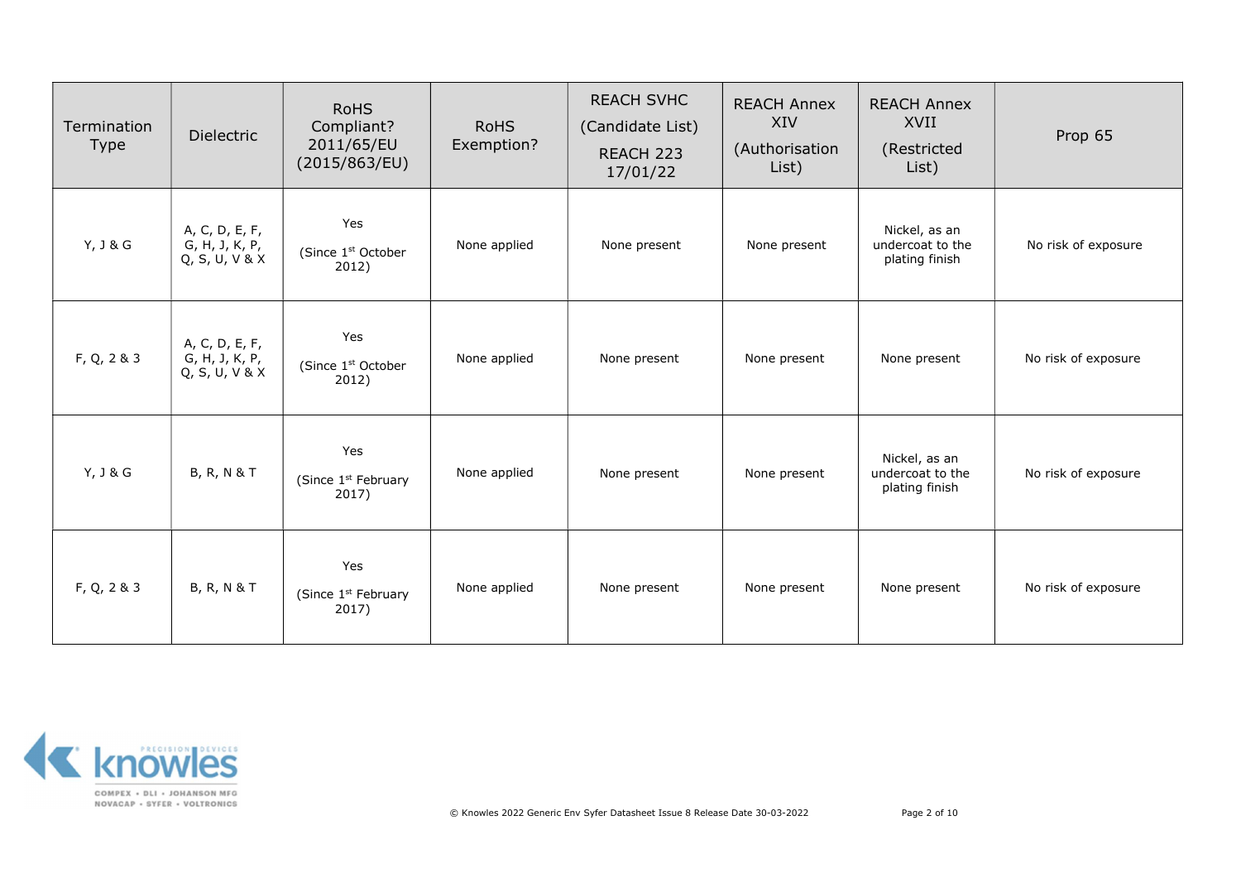| Termination<br><b>Type</b> | <b>Dielectric</b>                                  | <b>RoHS</b><br>Compliant?<br>2011/65/EU<br>(2015/863/EU) | <b>RoHS</b><br>Exemption? | <b>REACH SVHC</b><br>(Candidate List)<br>REACH 223<br>17/01/22 | <b>REACH Annex</b><br>XIV<br>(Authorisation<br>List) | <b>REACH Annex</b><br>XVII<br>(Restricted<br>List)  | Prop 65             |
|----------------------------|----------------------------------------------------|----------------------------------------------------------|---------------------------|----------------------------------------------------------------|------------------------------------------------------|-----------------------------------------------------|---------------------|
| Y, J & G                   | A, C, D, E, F,<br>G, H, J, K, P,<br>Q, S, U, V & X | Yes<br>(Since 1st October<br>2012)                       | None applied              | None present                                                   | None present                                         | Nickel, as an<br>undercoat to the<br>plating finish | No risk of exposure |
| F, Q, 2 & 3                | A, C, D, E, F,<br>G, H, J, K, P,<br>Q, S, U, V & X | Yes<br>(Since 1st October<br>2012)                       | None applied              | None present                                                   | None present                                         | None present                                        | No risk of exposure |
| Y, J & G                   | <b>B, R, N &amp; T</b>                             | Yes<br>(Since 1 <sup>st</sup> February<br>2017)          | None applied              | None present                                                   | None present                                         | Nickel, as an<br>undercoat to the<br>plating finish | No risk of exposure |
| F, Q, 2 & 3                | <b>B, R, N &amp; T</b>                             | Yes<br>(Since 1 <sup>st</sup> February<br>2017)          | None applied              | None present                                                   | None present                                         | None present                                        | No risk of exposure |

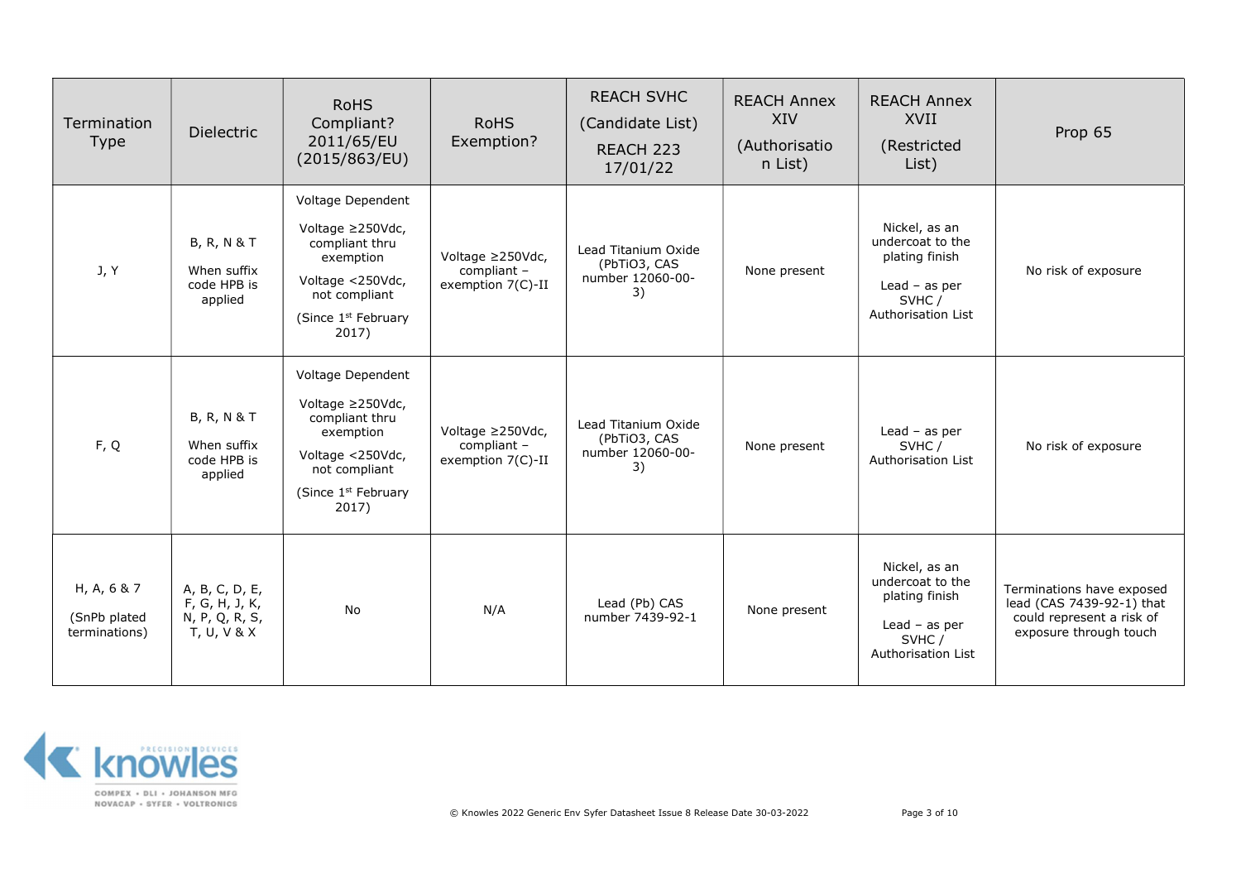| Termination<br><b>Type</b>                   | Dielectric                                                        | <b>RoHS</b><br>Compliant?<br>2011/65/EU<br>(2015/863/EU)                                                                                              | <b>RoHS</b><br>Exemption?                               | <b>REACH SVHC</b><br>(Candidate List)<br>REACH 223<br>17/01/22 | <b>REACH Annex</b><br>XIV<br>(Authorisatio<br>n List) | <b>REACH Annex</b><br>XVII<br>(Restricted<br>List)                                                    | Prop 65                                                                                                       |
|----------------------------------------------|-------------------------------------------------------------------|-------------------------------------------------------------------------------------------------------------------------------------------------------|---------------------------------------------------------|----------------------------------------------------------------|-------------------------------------------------------|-------------------------------------------------------------------------------------------------------|---------------------------------------------------------------------------------------------------------------|
| J, Y                                         | <b>B, R, N &amp; T</b><br>When suffix<br>code HPB is<br>applied   | Voltage Dependent<br>Voltage ≥250Vdc,<br>compliant thru<br>exemption<br>Voltage <250Vdc,<br>not compliant<br>(Since 1 <sup>st</sup> February<br>2017) | Voltage ≥250Vdc,<br>compliant -<br>exemption $7(C)$ -II | Lead Titanium Oxide<br>(PbTiO3, CAS<br>number 12060-00-<br>3)  | None present                                          | Nickel, as an<br>undercoat to the<br>plating finish<br>Lead $-$ as per<br>SVHC/<br>Authorisation List | No risk of exposure                                                                                           |
| F, Q                                         | <b>B, R, N &amp; T</b><br>When suffix<br>code HPB is<br>applied   | Voltage Dependent<br>Voltage ≥250Vdc,<br>compliant thru<br>exemption<br>Voltage <250Vdc,<br>not compliant<br>(Since 1 <sup>st</sup> February<br>2017) | Voltage ≥250Vdc,<br>compliant -<br>exemption 7(C)-II    | Lead Titanium Oxide<br>(PbTiO3, CAS<br>number 12060-00-<br>3)  | None present                                          | Lead $-$ as per<br>SVHC/<br>Authorisation List                                                        | No risk of exposure                                                                                           |
| H, A, 6 & 7<br>(SnPb plated<br>terminations) | A, B, C, D, E,<br>F, G, H, J, K,<br>N, P, Q, R, S,<br>T, U, V & X | No                                                                                                                                                    | N/A                                                     | Lead (Pb) CAS<br>number 7439-92-1                              | None present                                          | Nickel, as an<br>undercoat to the<br>plating finish<br>Lead $-$ as per<br>SVHC/<br>Authorisation List | Terminations have exposed<br>lead (CAS 7439-92-1) that<br>could represent a risk of<br>exposure through touch |

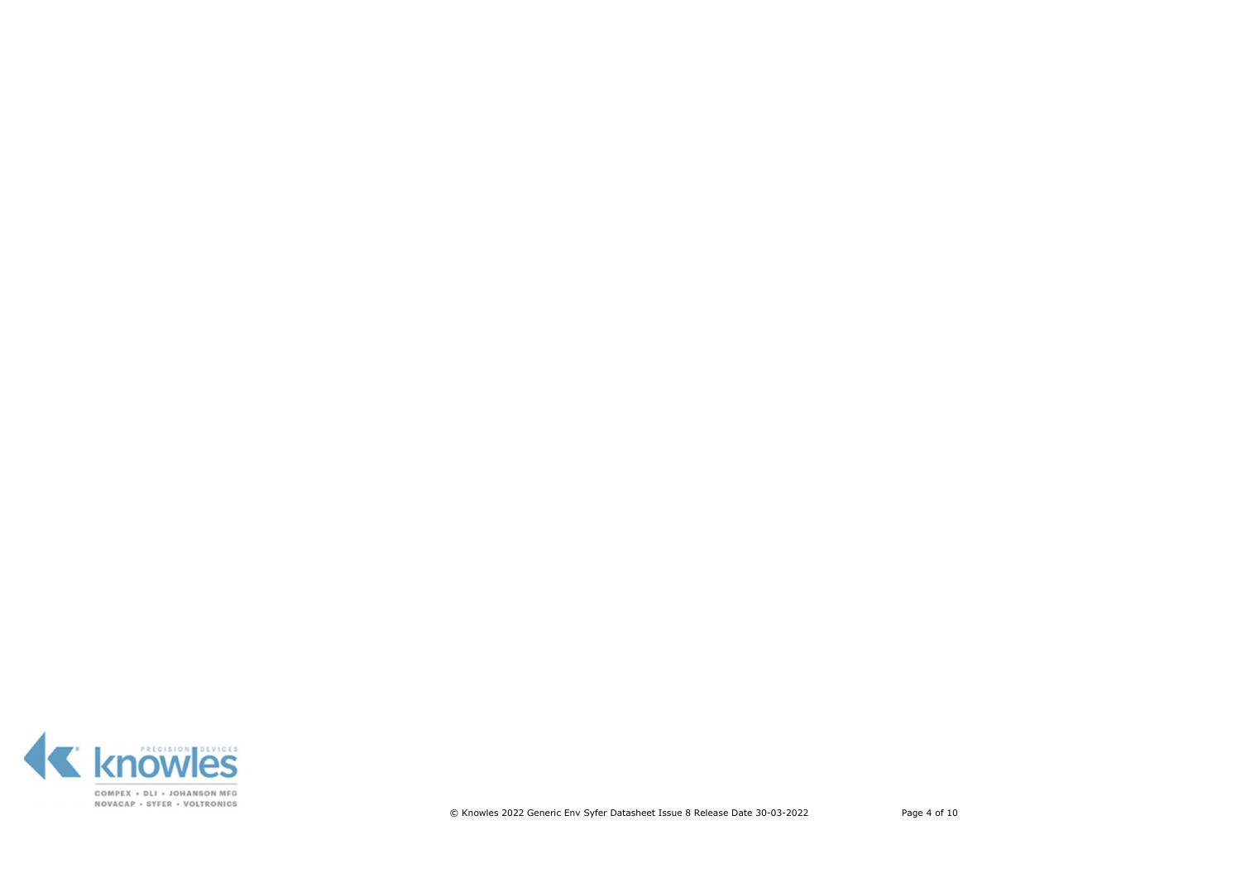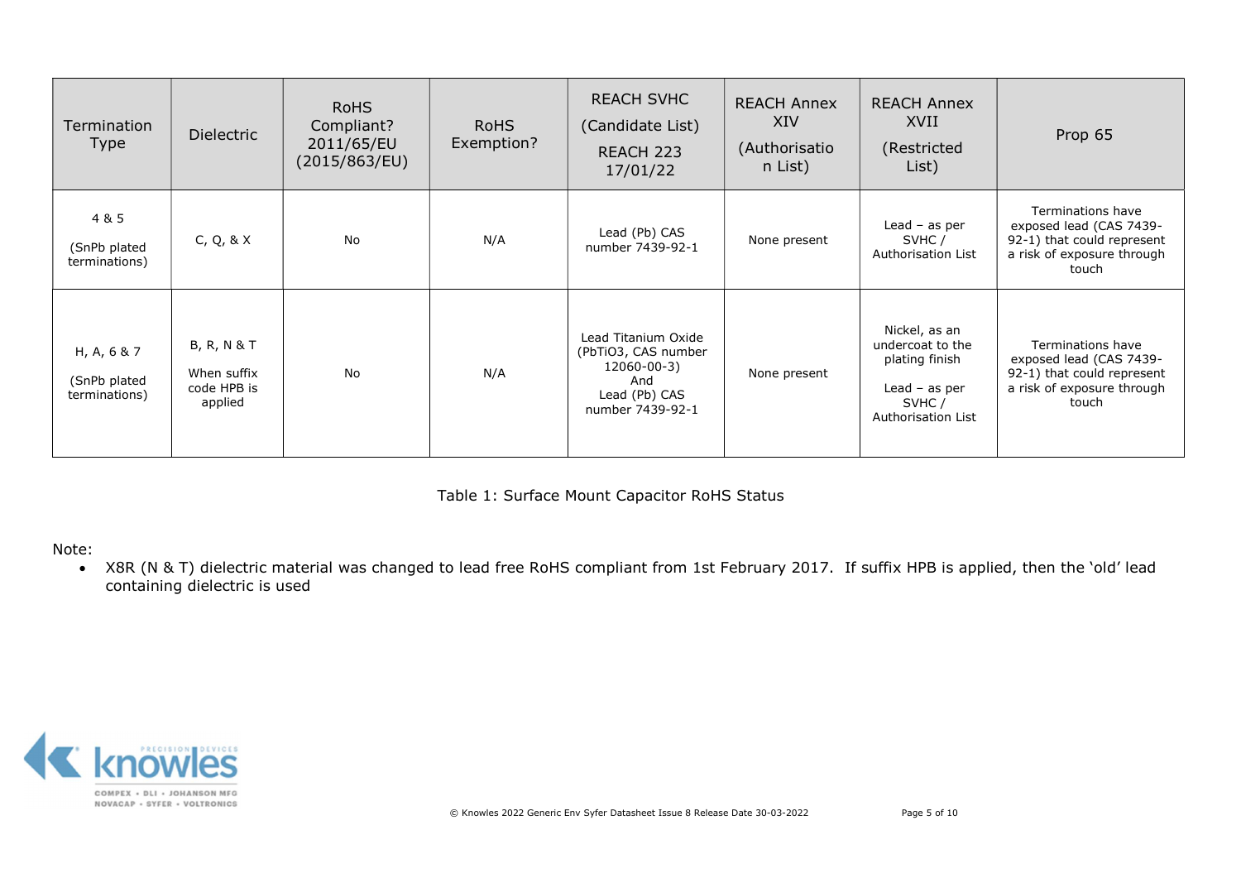| Termination<br><b>Type</b>                   | <b>Dielectric</b>                                               | <b>RoHS</b><br>Compliant?<br>2011/65/EU<br>(2015/863/EU) | <b>RoHS</b><br>Exemption? | <b>REACH SVHC</b><br>(Candidate List)<br>REACH 223<br>17/01/22                                        | <b>REACH Annex</b><br>XIV<br>(Authorisatio<br>n List) | <b>REACH Annex</b><br>XVII<br>(Restricted<br>List)                                                    | Prop 65                                                                                                           |
|----------------------------------------------|-----------------------------------------------------------------|----------------------------------------------------------|---------------------------|-------------------------------------------------------------------------------------------------------|-------------------------------------------------------|-------------------------------------------------------------------------------------------------------|-------------------------------------------------------------------------------------------------------------------|
| 4 & 5<br>(SnPb plated<br>terminations)       | C, Q, 8X                                                        | <b>No</b>                                                | N/A                       | Lead (Pb) CAS<br>number 7439-92-1                                                                     | None present                                          | Lead $-$ as per<br>SVHC/<br>Authorisation List                                                        | Terminations have<br>exposed lead (CAS 7439-<br>92-1) that could represent<br>a risk of exposure through<br>touch |
| H, A, 6 & 7<br>(SnPb plated<br>terminations) | <b>B, R, N &amp; T</b><br>When suffix<br>code HPB is<br>applied | No                                                       | N/A                       | Lead Titanium Oxide<br>(PbTiO3, CAS number<br>12060-00-3)<br>And<br>Lead (Pb) CAS<br>number 7439-92-1 | None present                                          | Nickel, as an<br>undercoat to the<br>plating finish<br>Lead $-$ as per<br>SVHC/<br>Authorisation List | Terminations have<br>exposed lead (CAS 7439-<br>92-1) that could represent<br>a risk of exposure through<br>touch |

Table 1: Surface Mount Capacitor RoHS Status

Note:

 X8R (N & T) dielectric material was changed to lead free RoHS compliant from 1st February 2017. If suffix HPB is applied, then the 'old' lead containing dielectric is used

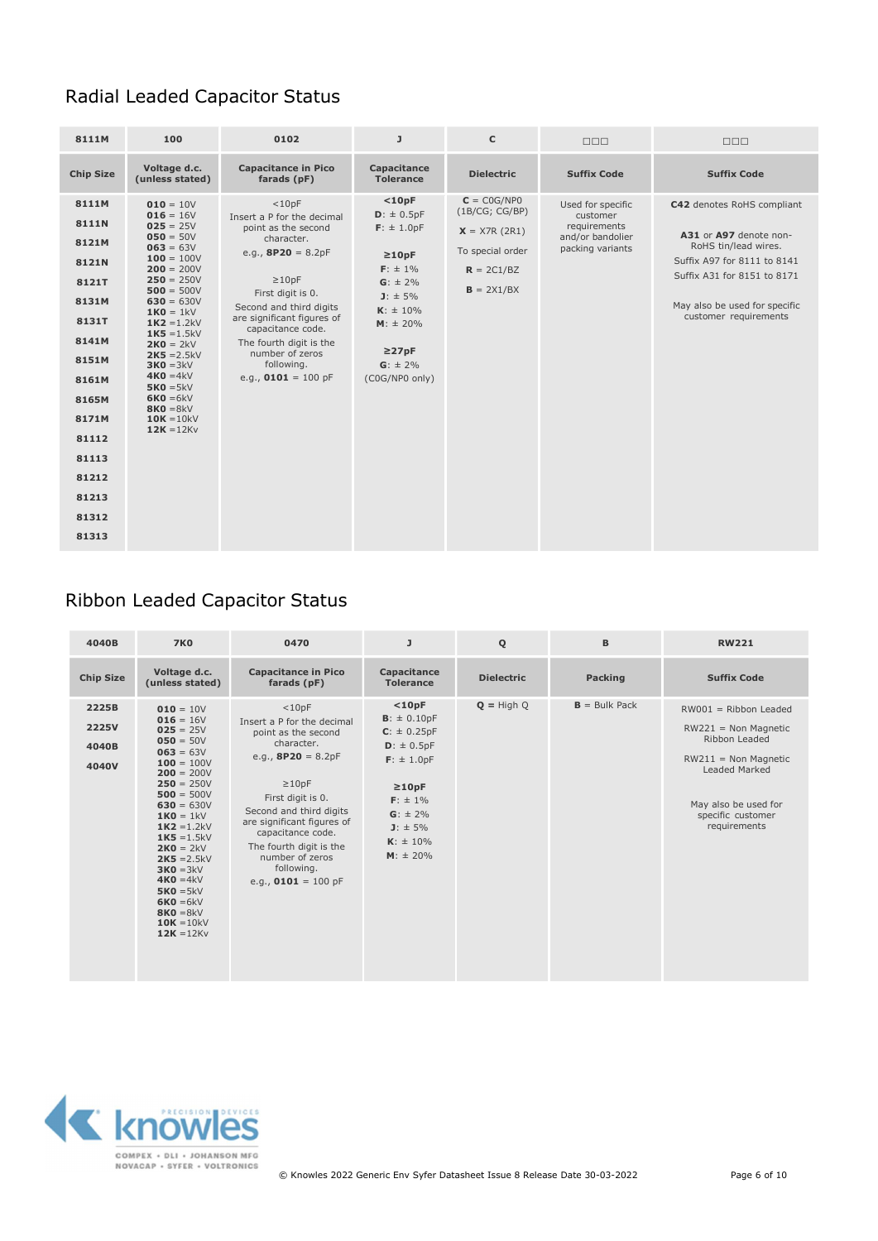## Radial Leaded Capacitor Status

| 8111M                                                                                                                                                          | 100                                                                                                                                                                                                                                                                                                                                                 | 0102                                                                                                                                                                                                                                                                                                       | J                                                                                                                                                                                              | C                                                                                                      | $\Box \Box \Box$                                                                      | $\Box \Box \Box$                                                                                                                                                                                     |
|----------------------------------------------------------------------------------------------------------------------------------------------------------------|-----------------------------------------------------------------------------------------------------------------------------------------------------------------------------------------------------------------------------------------------------------------------------------------------------------------------------------------------------|------------------------------------------------------------------------------------------------------------------------------------------------------------------------------------------------------------------------------------------------------------------------------------------------------------|------------------------------------------------------------------------------------------------------------------------------------------------------------------------------------------------|--------------------------------------------------------------------------------------------------------|---------------------------------------------------------------------------------------|------------------------------------------------------------------------------------------------------------------------------------------------------------------------------------------------------|
| <b>Chip Size</b>                                                                                                                                               | Voltage d.c.<br>(unless stated)                                                                                                                                                                                                                                                                                                                     | <b>Capacitance in Pico</b><br>farads (pF)                                                                                                                                                                                                                                                                  | Capacitance<br><b>Tolerance</b>                                                                                                                                                                | <b>Dielectric</b>                                                                                      | <b>Suffix Code</b>                                                                    | <b>Suffix Code</b>                                                                                                                                                                                   |
| 8111M<br>8111N<br>8121M<br>8121N<br>8121T<br>8131M<br>8131T<br>8141M<br>8151M<br>8161M<br>8165M<br>8171M<br>81112<br>81113<br>81212<br>81213<br>81312<br>81313 | $010 = 10V$<br>$016 = 16V$<br>$025 = 25V$<br>$050 = 50V$<br>$063 = 63V$<br>$100 = 100V$<br>$200 = 200V$<br>$250 = 250V$<br>$500 = 500V$<br>$630 = 630V$<br>$1KO = 1kV$<br>$1K2 = 1.2kV$<br>$1K5 = 1.5kV$<br>$2KO = 2kV$<br>$2K5 = 2.5kV$<br>$3K0 = 3kV$<br>$4K0 = 4kV$<br>$5K0 = 5kV$<br>$6K0 = 6kV$<br>$8K0 = 8kV$<br>$10K = 10kV$<br>$12K = 12Kv$ | $<$ 10pF<br>Insert a P for the decimal<br>point as the second<br>character.<br>e.g., $8P20 = 8.2pF$<br>$\geq 10pF$<br>First digit is 0.<br>Second and third digits<br>are significant figures of<br>capacitance code.<br>The fourth digit is the<br>number of zeros<br>following.<br>e.g., $0101 = 100$ pF | $<$ 10pF<br>$D: \pm 0.5pF$<br>$F: \pm 1.0pF$<br>$\geq 10pF$<br>$F: \pm 1\%$<br>$G: \pm 2\%$<br>$J: \pm 5\%$<br>$K: \pm 10\%$<br>$M: \pm 20\%$<br>$\geq$ 27pF<br>$G: \pm 2\%$<br>(C0G/NP0 only) | $C = COG/NPO$<br>(1B/CG; CG/BP)<br>$X = X7R (2R1)$<br>To special order<br>$R = 2C1/BZ$<br>$B = 2X1/BX$ | Used for specific<br>customer<br>requirements<br>and/or bandolier<br>packing variants | C42 denotes RoHS compliant<br>A31 or A97 denote non-<br>RoHS tin/lead wires.<br>Suffix A97 for 8111 to 8141<br>Suffix A31 for 8151 to 8171<br>May also be used for specific<br>customer requirements |

# Ribbon Leaded Capacitor Status

| 4040B                            | <b>7K0</b>                                                                                                                                                                                                                                                                                                                                          | 0470                                                                                                                                                                                                                                                                                                          | J                                                                                                                                                                                 | Q                 | B               | <b>RW221</b>                                                                                                                                                                      |
|----------------------------------|-----------------------------------------------------------------------------------------------------------------------------------------------------------------------------------------------------------------------------------------------------------------------------------------------------------------------------------------------------|---------------------------------------------------------------------------------------------------------------------------------------------------------------------------------------------------------------------------------------------------------------------------------------------------------------|-----------------------------------------------------------------------------------------------------------------------------------------------------------------------------------|-------------------|-----------------|-----------------------------------------------------------------------------------------------------------------------------------------------------------------------------------|
| <b>Chip Size</b>                 | Voltage d.c.<br>(unless stated)                                                                                                                                                                                                                                                                                                                     | <b>Capacitance in Pico</b><br>farads (pF)                                                                                                                                                                                                                                                                     | Capacitance<br><b>Tolerance</b>                                                                                                                                                   | <b>Dielectric</b> | <b>Packing</b>  | <b>Suffix Code</b>                                                                                                                                                                |
| 2225B<br>2225V<br>4040B<br>4040V | $010 = 10V$<br>$016 = 16V$<br>$025 = 25V$<br>$050 = 50V$<br>$063 = 63V$<br>$100 = 100V$<br>$200 = 200V$<br>$250 = 250V$<br>$500 = 500V$<br>$630 = 630V$<br>$1KO = 1kV$<br>$1K2 = 1.2kV$<br>$1K5 = 1.5kV$<br>$2KO = 2kV$<br>$2K5 = 2.5kV$<br>$3K0 = 3kV$<br>$4KO = 4kV$<br>$5K0 = 5kV$<br>$6K0 = 6kV$<br>$8K0 = 8kV$<br>$10K = 10kV$<br>$12K = 12Kv$ | $<$ 10 $pF$<br>Insert a P for the decimal<br>point as the second<br>character.<br>e.g., $8P20 = 8.2pF$<br>$\geq$ 10pF<br>First digit is 0.<br>Second and third digits<br>are significant figures of<br>capacitance code.<br>The fourth digit is the<br>number of zeros<br>following.<br>e.g., $0101 = 100$ pF | $10pF$<br>$B: \pm 0.10pF$<br>$C: \pm 0.25pF$<br>$D: \pm 0.5pF$<br>$F: \pm 1.0pF$<br>$\geq 10pF$<br>$F: \pm 1\%$<br>$G: \pm 2\%$<br>$J: \pm 5\%$<br>$K: \pm 10\%$<br>$M: \pm 20\%$ | $Q = High Q$      | $B = Bulk Pack$ | $RW001 = Ribbon$ Leaded<br>$RW221 = Non Magnetic$<br>Ribbon Leaded<br>$RW211 = Non Magnetic$<br><b>Leaded Marked</b><br>May also be used for<br>specific customer<br>requirements |

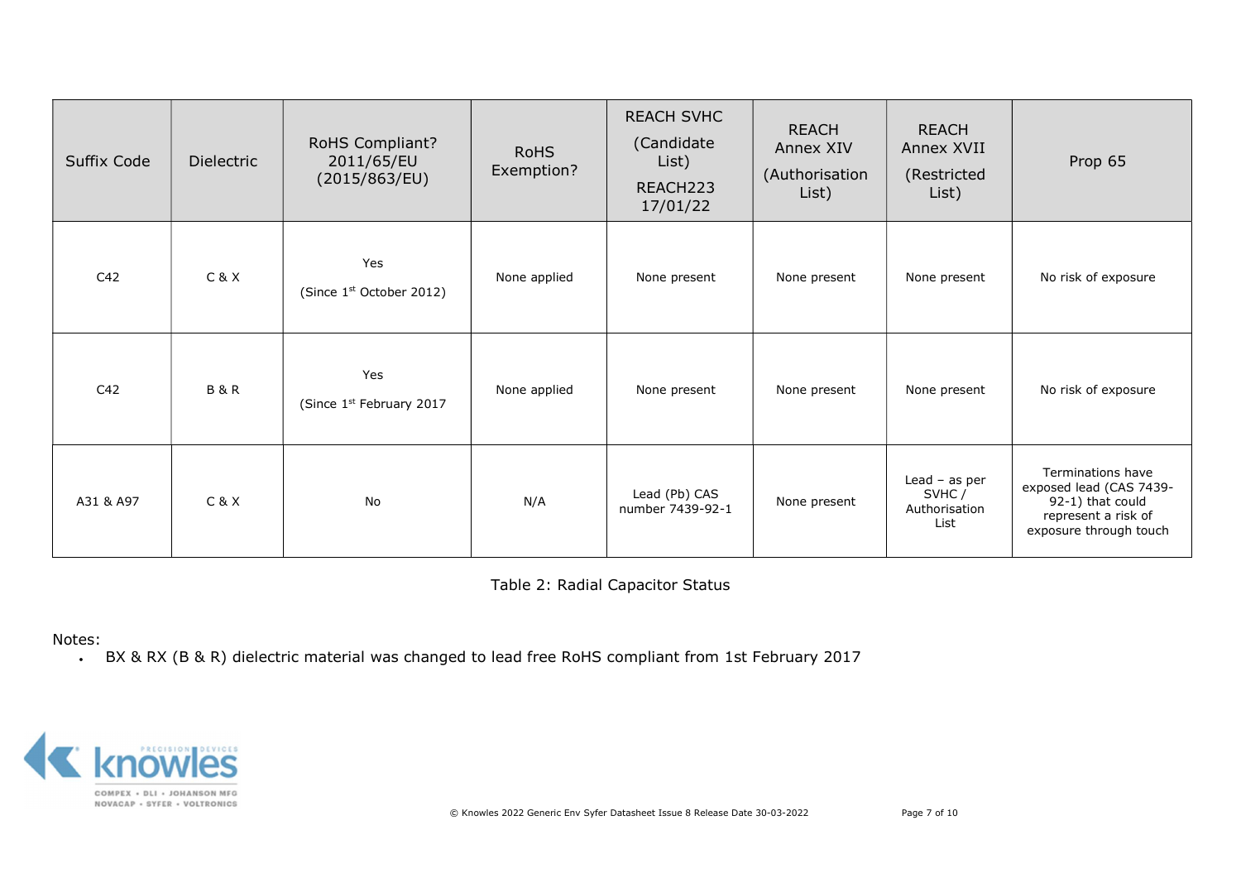| Suffix Code     | <b>Dielectric</b> | RoHS Compliant?<br>2011/65/EU<br>(2015/863/EU) | <b>RoHS</b><br>Exemption? | <b>REACH SVHC</b><br>(Candidate)<br>List)<br>REACH223<br>17/01/22 | <b>REACH</b><br>Annex XIV<br>(Authorisation<br>List) | <b>REACH</b><br>Annex XVII<br>(Restricted<br>List) | Prop 65                                                                                                           |
|-----------------|-------------------|------------------------------------------------|---------------------------|-------------------------------------------------------------------|------------------------------------------------------|----------------------------------------------------|-------------------------------------------------------------------------------------------------------------------|
| C42             | C & X             | Yes<br>(Since 1 <sup>st</sup> October 2012)    | None applied              | None present                                                      | None present                                         | None present                                       | No risk of exposure                                                                                               |
| C <sub>42</sub> | <b>B&amp;R</b>    | Yes<br>(Since 1st February 2017                | None applied              | None present                                                      | None present                                         | None present                                       | No risk of exposure                                                                                               |
| A31 & A97       | C&X               | No                                             | N/A                       | Lead (Pb) CAS<br>number 7439-92-1                                 | None present                                         | Lead $-$ as per<br>SVHC/<br>Authorisation<br>List  | Terminations have<br>exposed lead (CAS 7439-<br>92-1) that could<br>represent a risk of<br>exposure through touch |

Table 2: Radial Capacitor Status

#### Notes:

BX & RX (B & R) dielectric material was changed to lead free RoHS compliant from 1st February 2017

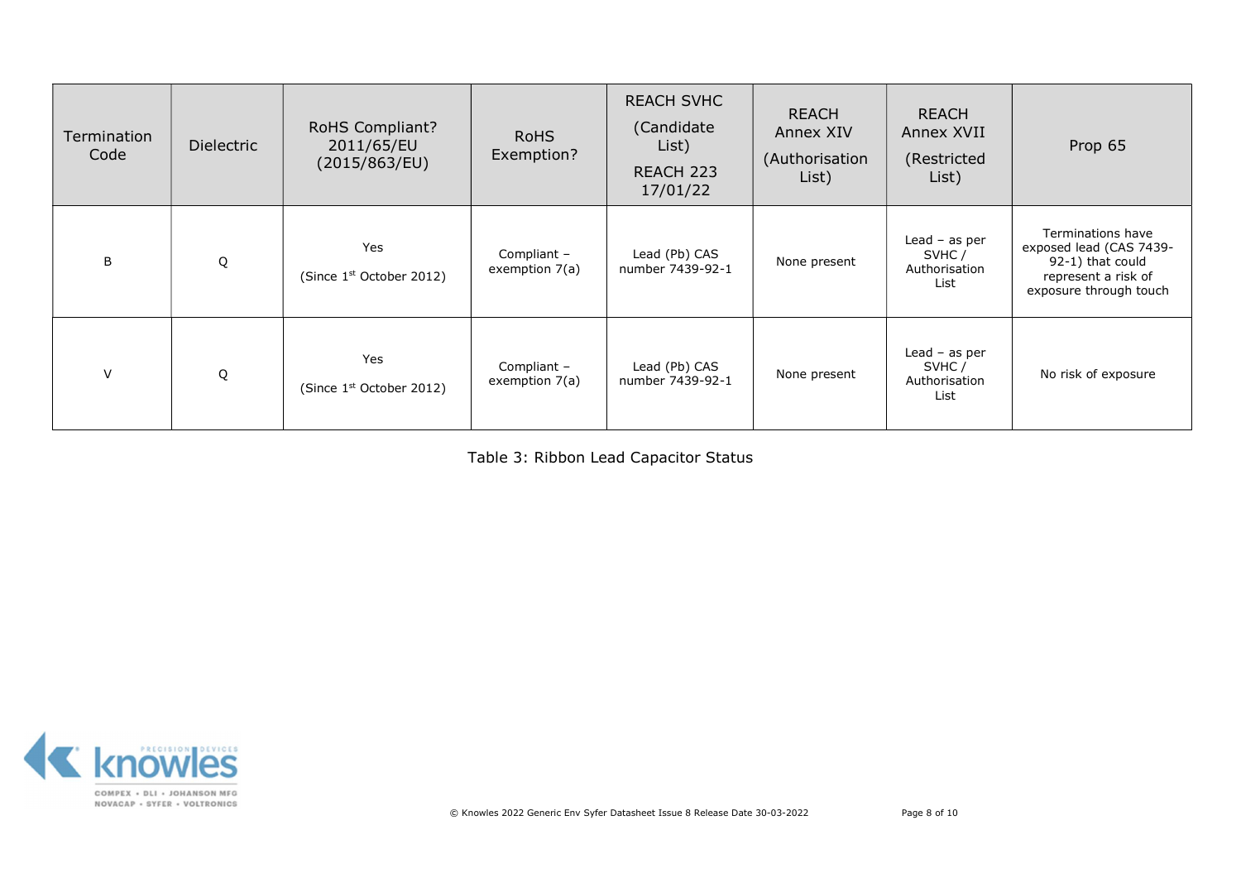| Termination<br>Code | <b>Dielectric</b> | <b>RoHS Compliant?</b><br>2011/65/EU<br>(2015/863/EU) | <b>RoHS</b><br>Exemption?       | <b>REACH SVHC</b><br>(Candidate)<br>List)<br>REACH 223<br>17/01/22 | <b>REACH</b><br>Annex XIV<br>(Authorisation<br>List) | <b>REACH</b><br>Annex XVII<br>(Restricted<br>List) | Prop 65                                                                                                           |
|---------------------|-------------------|-------------------------------------------------------|---------------------------------|--------------------------------------------------------------------|------------------------------------------------------|----------------------------------------------------|-------------------------------------------------------------------------------------------------------------------|
| B                   | Q                 | Yes<br>(Since 1 <sup>st</sup> October 2012)           | Compliant -<br>exemption $7(a)$ | Lead (Pb) CAS<br>number 7439-92-1                                  | None present                                         | Lead $-$ as per<br>SVHC/<br>Authorisation<br>List  | Terminations have<br>exposed lead (CAS 7439-<br>92-1) that could<br>represent a risk of<br>exposure through touch |
| $\vee$              | Q                 | Yes<br>(Since $1st$ October 2012)                     | Compliant -<br>exemption $7(a)$ | Lead (Pb) CAS<br>number 7439-92-1                                  | None present                                         | Lead $-$ as per<br>SVHC/<br>Authorisation<br>List  | No risk of exposure                                                                                               |

Table 3: Ribbon Lead Capacitor Status

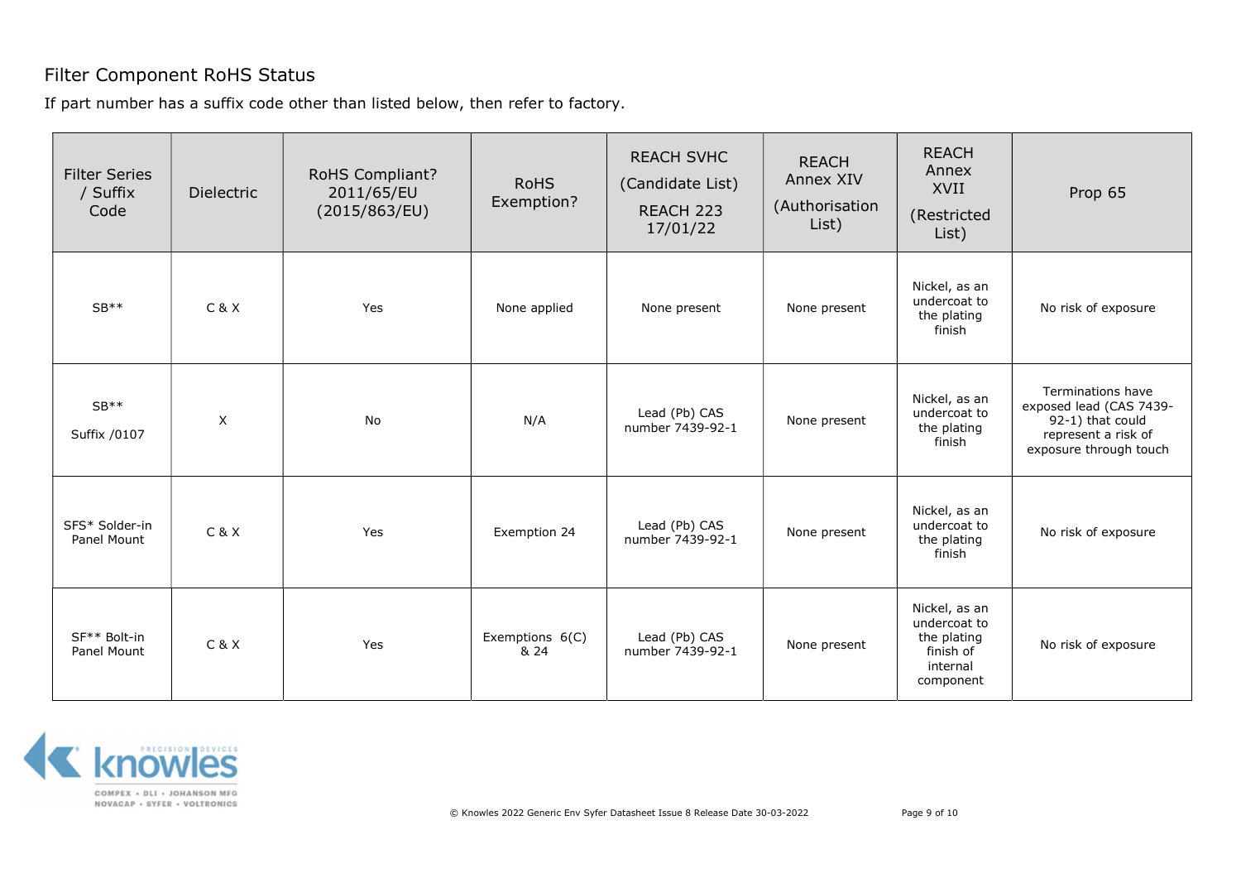### Filter Component RoHS Status

If part number has a suffix code other than listed below, then refer to factory.

| <b>Filter Series</b><br>/ Suffix<br>Code | <b>Dielectric</b>         | RoHS Compliant?<br>2011/65/EU<br>(2015/863/EU) | <b>RoHS</b><br>Exemption? | <b>REACH SVHC</b><br>(Candidate List)<br>REACH 223<br>17/01/22 | <b>REACH</b><br>Annex XIV<br>(Authorisation<br>List) | <b>REACH</b><br>Annex<br><b>XVII</b><br>(Restricted<br>List)                       | Prop 65                                                                                                           |
|------------------------------------------|---------------------------|------------------------------------------------|---------------------------|----------------------------------------------------------------|------------------------------------------------------|------------------------------------------------------------------------------------|-------------------------------------------------------------------------------------------------------------------|
| $SB**$                                   | C&X                       | Yes                                            | None applied              | None present                                                   | None present                                         | Nickel, as an<br>undercoat to<br>the plating<br>finish                             | No risk of exposure                                                                                               |
| $SB**$<br>Suffix /0107                   | $\boldsymbol{\mathsf{X}}$ | <b>No</b>                                      | N/A                       | Lead (Pb) CAS<br>number 7439-92-1                              | None present                                         | Nickel, as an<br>undercoat to<br>the plating<br>finish                             | Terminations have<br>exposed lead (CAS 7439-<br>92-1) that could<br>represent a risk of<br>exposure through touch |
| SFS* Solder-in<br>Panel Mount            | C&X                       | Yes                                            | Exemption 24              | Lead (Pb) CAS<br>number 7439-92-1                              | None present                                         | Nickel, as an<br>undercoat to<br>the plating<br>finish                             | No risk of exposure                                                                                               |
| SF** Bolt-in<br>Panel Mount              | C&X                       | Yes                                            | Exemptions 6(C)<br>& 24   | Lead (Pb) CAS<br>number 7439-92-1                              | None present                                         | Nickel, as an<br>undercoat to<br>the plating<br>finish of<br>internal<br>component | No risk of exposure                                                                                               |